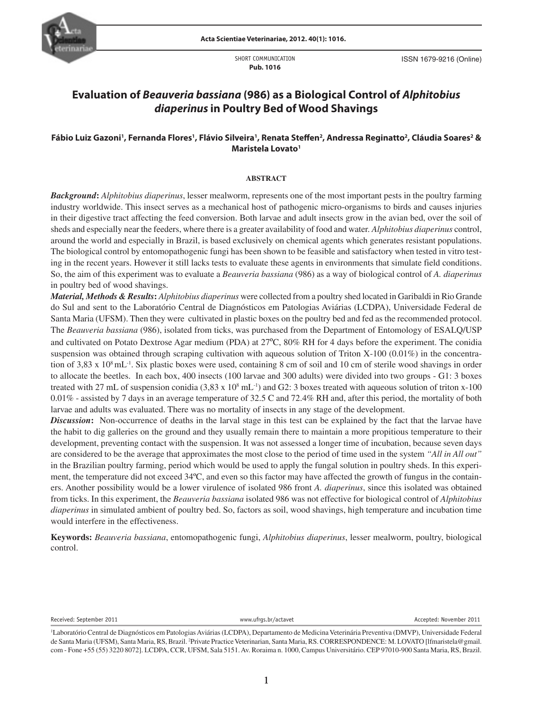

SHORT COMMUNICATION **Pub. 1016**

ISSN 1679-9216 (Online)

# **Evaluation of** *Beauveria bassiana* **(986) as a Biological Control of** *Alphitobius diaperinus* **in Poultry Bed of Wood Shavings**

# **Fábio Luiz Gazoni', Fernanda Flores', Flávio Silveira', Renata Steffen<sup>2</sup>, Andressa Reginatto<sup>2</sup>, Cláudia Soares<sup>2</sup> & Maristela Lovato1**

### **ABSTRACT**

*Background***:** *Alphitobius diaperinus*, lesser mealworm, represents one of the most important pests in the poultry farming industry worldwide. This insect serves as a mechanical host of pathogenic micro-organisms to birds and causes injuries in their digestive tract affecting the feed conversion. Both larvae and adult insects grow in the avian bed, over the soil of sheds and especially near the feeders, where there is a greater availability of food and water. *Alphitobius diaperinus* control, around the world and especially in Brazil, is based exclusively on chemical agents which generates resistant populations. The biological control by entomopathogenic fungi has been shown to be feasible and satisfactory when tested in vitro testing in the recent years. However it still lacks tests to evaluate these agents in environments that simulate field conditions. So, the aim of this experiment was to evaluate a *Beauveria bassiana* (986) as a way of biological control of *A. diaperinus*  in poultry bed of wood shavings.

tion of 3,83 x 10<sup>8</sup> mL<sup>-1</sup>. Six plastic boxes were used, containing 8 cm of soil and 10 cm of sterile wood shavings in order *Material, Methods & Results***:** *Alphitobius diaperinus* were collected from a poultry shed located in Garibaldi in Rio Grande do Sul and sent to the Laboratório Central de Diagnósticos em Patologias Aviárias (LCDPA), Universidade Federal de Santa Maria (UFSM). Then they were cultivated in plastic boxes on the poultry bed and fed as the recommended protocol. The *Beauveria bassiana* (986), isolated from ticks, was purchased from the Department of Entomology of ESALQ/USP and cultivated on Potato Dextrose Agar medium (PDA) at 27ºC, 80% RH for 4 days before the experiment. The conidia suspension was obtained through scraping cultivation with aqueous solution of Triton X-100 (0.01%) in the concentrato allocate the beetles. In each box, 400 insects (100 larvae and 300 adults) were divided into two groups - G1: 3 boxes treated with 27 mL of suspension conidia  $(3.83 \times 10^8 \text{ mL}^{-1})$  and G2: 3 boxes treated with aqueous solution of triton x-100  $0.01\%$  - assisted by 7 days in an average temperature of 32.5 C and 72.4% RH and, after this period, the mortality of both larvae and adults was evaluated. There was no mortality of insects in any stage of the development.

*Discussion***:** Non-occurrence of deaths in the larval stage in this test can be explained by the fact that the larvae have the habit to dig galleries on the ground and they usually remain there to maintain a more propitious temperature to their development, preventing contact with the suspension. It was not assessed a longer time of incubation, because seven days are considered to be the average that approximates the most close to the period of time used in the system *"All in All out"*  in the Brazilian poultry farming, period which would be used to apply the fungal solution in poultry sheds. In this experiment, the temperature did not exceed 34ºC, and even so this factor may have affected the growth of fungus in the containers. Another possibility would be a lower virulence of isolated 986 front *A. diaperinus*, since this isolated was obtained from ticks. In this experiment, the *Beauveria bassiana* isolated 986 was not effective for biological control of *Alphitobius diaperinus* in simulated ambient of poultry bed. So, factors as soil, wood shavings, high temperature and incubation time would interfere in the effectiveness.

**Keywords:** *Beauveria bassiana*, entomopathogenic fungi, *Alphitobius diaperinus*, lesser mealworm, poultry, biological control.

Received: September 2011 **and Container and Container September 2011** www.ufrgs.br/actavet Accepted: November 2011

<sup>1</sup> Laboratório Central de Diagnósticos em Patologias Aviárias (LCDPA), Departamento de Medicina Veterinária Preventiva (DMVP), Universidade Federal de Santa Maria (UFSM), Santa Maria, RS, Brazil. <sup>2</sup>Private Practice Veterinarian, Santa Maria, RS. CORRESPONDENCE: M. LOVATO [lfmaristela@gmail. com - Fone +55 (55) 3220 8072]. LCDPA, CCR, UFSM, Sala 5151. Av. Roraima n. 1000, Campus Universitário. CEP 97010-900 Santa Maria, RS, Brazil.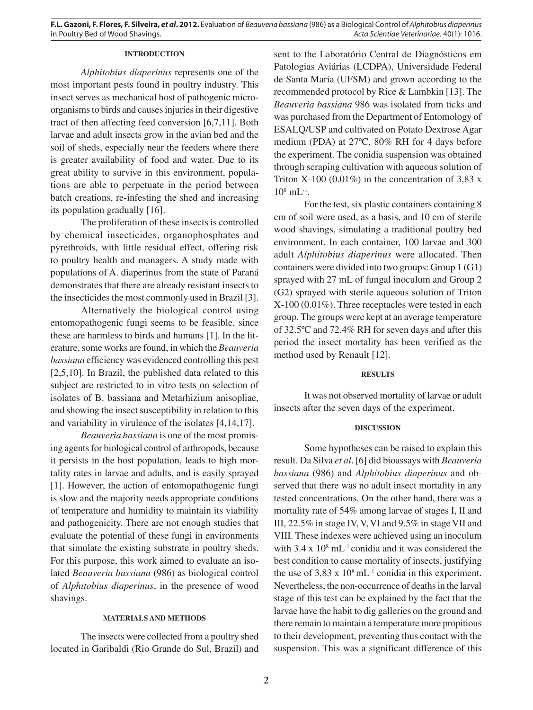**F.L. Gazoni, F. Flores, F. Silveira,** *et al***. 2012.** Evaluation of *Beauveria bassiana* (986) as a Biological Control of *Alphitobius diaperinus*  in Poultry Bed of Wood Shavings. *Acta Scientiae Veterinariae*. 40(1): 1016.

# **INTRODUCTION**

*Alphitobius diaperinus* represents one of the most important pests found in poultry industry. This insect serves as mechanical host of pathogenic microorganisms to birds and causes injuries in their digestive tract of then affecting feed conversion [6,7,11]. Both larvae and adult insects grow in the avian bed and the soil of sheds, especially near the feeders where there is greater availability of food and water. Due to its great ability to survive in this environment, populations are able to perpetuate in the period between batch creations, re-infesting the shed and increasing its population gradually [16].

The proliferation of these insects is controlled by chemical insecticides, organophosphates and pyrethroids, with little residual effect, offering risk to poultry health and managers. A study made with populations of A. diaperinus from the state of Paraná demonstrates that there are already resistant insects to the insecticides the most commonly used in Brazil [3].

Alternatively the biological control using entomopathogenic fungi seems to be feasible, since these are harmless to birds and humans [1]. In the literature, some works are found, in which the *Beauveria bassiana* efficiency was evidenced controlling this pest [2,5,10]. In Brazil, the published data related to this subject are restricted to in vitro tests on selection of isolates of B. bassiana and Metarhizium anisopliae, and showing the insect susceptibility in relation to this and variability in virulence of the isolates [4,14,17].

*Beauveria bassiana* is one of the most promising agents for biological control of arthropods, because it persists in the host population, leads to high mortality rates in larvae and adults, and is easily sprayed [1]. However, the action of entomopathogenic fungi is slow and the majority needs appropriate conditions of temperature and humidity to maintain its viability and pathogenicity. There are not enough studies that evaluate the potential of these fungi in environments that simulate the existing substrate in poultry sheds. For this purpose, this work aimed to evaluate an isolated *Beauveria bassiana* (986) as biological control of *Alphitobius diaperinus*, in the presence of wood shavings.

## **MATERIALS AND METHODS**

The insects were collected from a poultry shed located in Garibaldi (Rio Grande do Sul, Brazil) and sent to the Laboratório Central de Diagnósticos em Patologias Aviárias (LCDPA), Universidade Federal de Santa Maria (UFSM) and grown according to the recommended protocol by Rice & Lambkin [13]. The *Beauveria bassiana* 986 was isolated from ticks and was purchased from the Department of Entomology of ESALQ/USP and cultivated on Potato Dextrose Agar medium (PDA) at 27ºC, 80% RH for 4 days before the experiment. The conidia suspension was obtained through scraping cultivation with aqueous solution of Triton X-100 (0.01%) in the concentration of 3,83 x  $10^8$  mL<sup>-1</sup>.

For the test, six plastic containers containing 8 cm of soil were used, as a basis, and 10 cm of sterile wood shavings, simulating a traditional poultry bed environment. In each container, 100 larvae and 300 adult *Alphitobius diaperinus* were allocated. Then containers were divided into two groups: Group 1 (G1) sprayed with 27 mL of fungal inoculum and Group 2 (G2) sprayed with sterile aqueous solution of Triton X-100 (0.01%). Three receptacles were tested in each group. The groups were kept at an average temperature of 32.5ºC and 72.4% RH for seven days and after this period the insect mortality has been verified as the method used by Renault [12].

#### **RESULTS**

It was not observed mortality of larvae or adult insects after the seven days of the experiment.

#### **DISCUSSION**

Some hypotheses can be raised to explain this result. Da Silva *et al*. [6] did bioassays with *Beauveria bassiana* (986) and *Alphitobius diaperinus* and observed that there was no adult insect mortality in any tested concentrations. On the other hand, there was a mortality rate of 54% among larvae of stages I, II and III, 22.5% in stage IV, V, VI and 9.5% in stage VII and VIII. These indexes were achieved using an inoculum with  $3.4 \times 10^8$  mL<sup>-1</sup> conidia and it was considered the best condition to cause mortality of insects, justifying the use of  $3,83 \times 10^8 \text{ mL}^{-1}$  conidia in this experiment. Nevertheless, the non-occurrence of deaths in the larval stage of this test can be explained by the fact that the larvae have the habit to dig galleries on the ground and there remain to maintain a temperature more propitious to their development, preventing thus contact with the suspension. This was a significant difference of this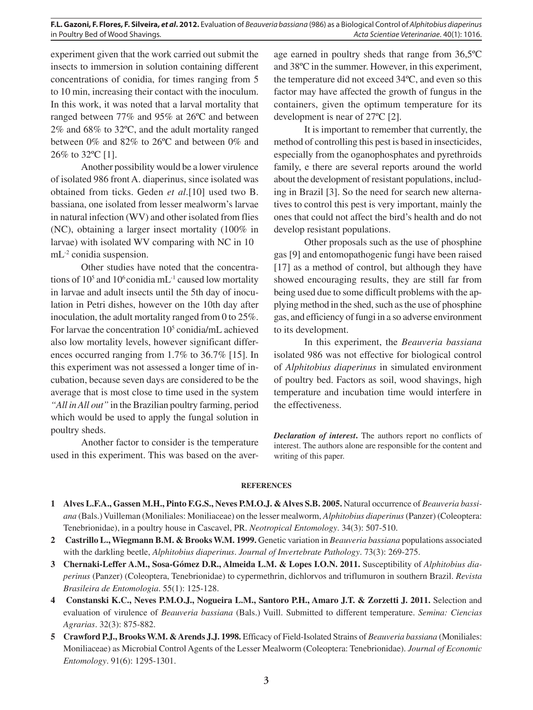**F.L. Gazoni, F. Flores, F. Silveira,** *et al***. 2012.** Evaluation of *Beauveria bassiana* (986) as a Biological Control of *Alphitobius diaperinus*  in Poultry Bed of Wood Shavings. *Acta Scientiae Veterinariae*. 40(1): 1016.

experiment given that the work carried out submit the insects to immersion in solution containing different concentrations of conidia, for times ranging from 5 to 10 min, increasing their contact with the inoculum. In this work, it was noted that a larval mortality that ranged between 77% and 95% at 26ºC and between 2% and 68% to 32ºC, and the adult mortality ranged between 0% and 82% to 26ºC and between 0% and 26% to 32ºC [1].

Another possibility would be a lower virulence of isolated 986 front A. diaperinus, since isolated was obtained from ticks. Geden *et al*.[10] used two B. bassiana, one isolated from lesser mealworm's larvae in natural infection (WV) and other isolated from flies (NC), obtaining a larger insect mortality (100% in larvae) with isolated WV comparing with NC in 10 mL<sup>-2</sup> conidia suspension.

Other studies have noted that the concentrations of 10<sup>5</sup> and 10<sup>6</sup> conidia mL<sup>-1</sup> caused low mortality in larvae and adult insects until the 5th day of inoculation in Petri dishes, however on the 10th day after inoculation, the adult mortality ranged from 0 to 25%. For larvae the concentration 10<sup>5</sup> conidia/mL achieved also low mortality levels, however significant differences occurred ranging from 1.7% to 36.7% [15]. In this experiment was not assessed a longer time of incubation, because seven days are considered to be the average that is most close to time used in the system *"All in All out"* in the Brazilian poultry farming, period which would be used to apply the fungal solution in poultry sheds.

Another factor to consider is the temperature used in this experiment. This was based on the aver-

age earned in poultry sheds that range from 36,5ºC and 38ºC in the summer. However, in this experiment, the temperature did not exceed 34ºC, and even so this factor may have affected the growth of fungus in the containers, given the optimum temperature for its development is near of 27ºC [2].

It is important to remember that currently, the method of controlling this pest is based in insecticides, especially from the oganophosphates and pyrethroids family, e there are several reports around the world about the development of resistant populations, including in Brazil [3]. So the need for search new alternatives to control this pest is very important, mainly the ones that could not affect the bird's health and do not develop resistant populations.

Other proposals such as the use of phosphine gas [9] and entomopathogenic fungi have been raised [17] as a method of control, but although they have showed encouraging results, they are still far from being used due to some difficult problems with the applying method in the shed, such as the use of phosphine gas, and efficiency of fungi in a so adverse environment to its development.

of *Alphitobius diaperinus* in simulated environment In this experiment, the *Beauveria bassiana* isolated 986 was not effective for biological control of poultry bed. Factors as soil, wood shavings, high temperature and incubation time would interfere in the effectiveness.

*Declaration of interest***.** The authors report no conflicts of interest. The authors alone are responsible for the content and writing of this paper.

#### **REFERENCES**

- **1 Alves L.F.A., Gassen M.H., Pinto F.G.S., Neves P.M.O.J. & Alves S.B. 2005.** Natural occurrence of *Beauveria bassiana* (Bals.) Vuilleman (Moniliales: Moniliaceae) on the lesser mealworm, *Alphitobius diaperinus* (Panzer) (Coleoptera: Tenebrionidae), in a poultry house in Cascavel, PR. *Neotropical Entomology*. 34(3): 507-510.
- **2 Castrillo L., Wiegmann B.M. & Brooks W.M. 1999.** Genetic variation in *Beauveria bassiana* populations associated with the darkling beetle, *Alphitobius diaperinus*. *Journal of Invertebrate Pathology*. 73(3): 269-275.
- **3 Chernaki-Leffer A.M., Sosa-Gómez D.R., Almeida L.M. & Lopes I.O.N. 2011.** Susceptibility of *Alphitobius diaperinus* (Panzer) (Coleoptera, Tenebrionidae) to cypermethrin, dichlorvos and triflumuron in southern Brazil. *Revista Brasileira de Entomologia*. 55(1): 125-128.
- **4 Constanski K.C., Neves P.M.O.J., Nogueira L.M., Santoro P.H., Amaro J.T. & Zorzetti J. 2011.** Selection and evaluation of virulence of *Beauveria bassiana* (Bals.) Vuill. Submitted to different temperature. *Semina: Ciencias Agrarias*. 32(3): 875-882.
- **5 Crawford P.J., Brooks W.M. & Arends J.J. 1998.** Efficacy of Field-Isolated Strains of *Beauveria bassiana* (Moniliales: Moniliaceae) as Microbial Control Agents of the Lesser Mealworm (Coleoptera: Tenebrionidae). *Journal of Economic Entomology*. 91(6): 1295-1301.